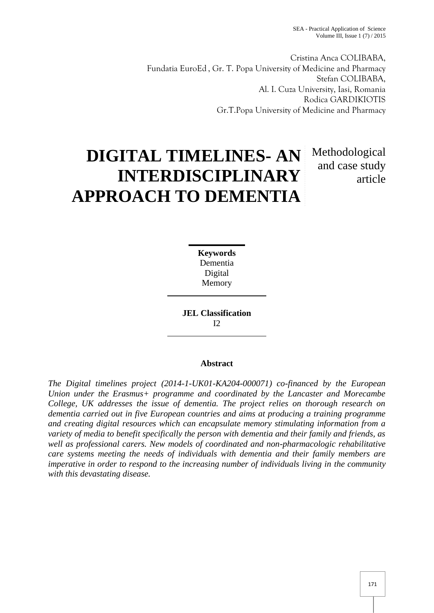Cristina Anca COLIBABA, Fundatia EuroEd , Gr. T. Popa University of Medicine and Pharmacy Stefan COLIBABA, Al. I. Cuza University, Iasi, Romania Rodica GARDIKIOTIS Gr.T.Popa University of Medicine and Pharmacy

# **DIGITAL TIMELINES- AN INTERDISCIPLINARY APPROACH TO DEMENTIA**

## Methodological and case study article

**Keywords** Dementia Digital Memory

**JEL Classification**  $I2$ 

### **Abstract**

*The Digital timelines project (2014-1-UK01-KA204-000071) co-financed by the European Union under the Erasmus+ programme and coordinated by the Lancaster and Morecambe College, UK addresses the issue of dementia. The project relies on thorough research on dementia carried out in five European countries and aims at producing a training programme and creating digital resources which can encapsulate memory stimulating information from a variety of media to benefit specifically the person with dementia and their family and friends, as well as professional carers. New models of coordinated and non-pharmacologic rehabilitative care systems meeting the needs of individuals with dementia and their family members are imperative in order to respond to the increasing number of individuals living in the community with this devastating disease.*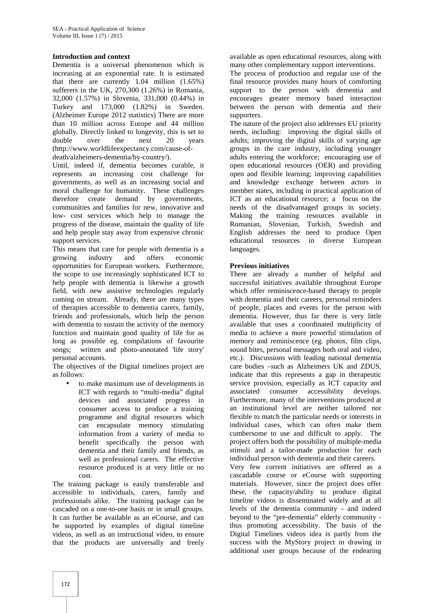#### **Introduction and context**

Dementia is a universal phenomenon which is increasing at an exponential rate. It is estimated that there are currently 1.04 million (1.65%) sufferers in the UK, 270,300 (1.26%) in Romania, 32,000 (1.57%) in Slovenia, 331,000 (0.44%) in Turkey and 173,000 (1.82%) in Sweden. (Alzheimer Europe 2012 statistics) There are more than 10 million across Europe and 44 million globally. Directly linked to longevity, this is set to double over the next 20 years (http://www.worldlifeexpectancy.com/cause-of death/alzheimers-dementia/by-country/).

Until, indeed if, dementia becomes curable, it represents an increasing cost challenge for governments, as well as an increasing social and moral challenge for humanity. These challenges therefore create demand by governments, communities and families for new, innovative and low- cost services which help to manage the progress of the disease, maintain the quality of life and help people stay away from expensive chronic support services.

This means that care for people with dementia is a growing industry and offers economic opportunities for European workers. Furthermore, the scope to use increasingly sophisticated ICT to help people with dementia is likewise a growth field, with new assistive technologies regularly coming on stream. Already, there are many types of therapies accessible to dementia carers, family, friends and professionals, which help the person with dementia to sustain the activity of the memory function and maintain good quality of life for as long as possible eg. compilations of favourite songs; written and photo-annotated 'life story' personal accounts.

The objectives of the Digital timelines project are as follows:

 to make maximum use of developments in ICT with regards to "multi-media" digital devices and associated progress in consumer access to produce a training programme and digital resources which can encapsulate memory stimulating information from a variety of media to benefit specifically the person with dementia and their family and friends, as well as professional carers. The effective resource produced is at very little or no cost.

The training package is easily transferable and accessible to individuals, carers, family and professionals alike. The training package can be cascaded on a one-to-one basis or in small groups. It can further be available as an eCourse, and can be supported by examples of digital timeline videos, as well as an instructional video, to ensure that the products are universally and freely

available as open educational resources, along with many other complementary support interventions.

The process of production and regular use of the final resource provides many hours of comforting support to the person with dementia and encourages greater memory based interaction between the person with dementia and their supporters.

The nature of the project also addresses EU priority needs, including: improving the digital skills of adults; improving the digital skills of varying age groups in the care industry, including younger adults entering the workforce; encouraging use of open educational resources (OER) and providing open and flexible learning; improving capabilities and knowledge exchange between actors in member states, including in practical application of ICT as an educational resource; a focus on the needs of the disadvantaged groups in society. Making the training resources available in Romanian, Slovenian, Turkish, Swedish and English addresses the need to produce Open educational resources in diverse European languages.

#### **Previous initiatives**

There are already a number of helpful and successful initiatives available throughout Europe which offer reminiscence-based therapy to people with dementia and their careers, personal reminders of people, places and events for the person with dementia. However, thus far there is very little available that uses a coordinated multiplicity of media to achieve a more powerful stimulation of memory and reminiscence (eg. photos, film clips, sound bites, personal messages both oral and video, etc.). Discussions with leading national dementia care bodies –such as Alzheimers UK and ZDUS, indicate that this represents a gap in therapeutic service provision, especially as ICT capacity and associated consumer accessibility develops. Furthermore, many of the interventions produced at an institutional level are neither tailored nor flexible to match the particular needs or interests in individual cases, which can often make them cumbersome to use and difficult to apply. The project offers both the possibility of multiple-media stimuli and a tailor-made production for each individual person with dementia and their careers.

Very few current initiatives are offered as a cascadable course or eCourse with supporting materials. However, since the project does offer these, the capacity/ability to produce digital timeline videos is disseminated widely and at all levels of the dementia community - and indeed beyond to the "pre-dementia" elderly community thus promoting accessibility. The basis of the Digital Timelines videos idea is partly from the success with the MyStory project in drawing in additional user groups because of the endearing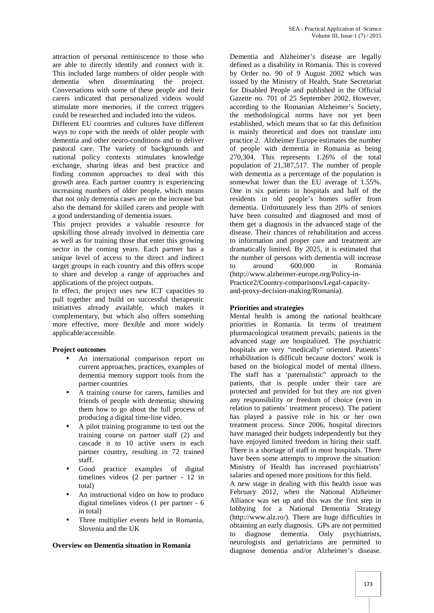attraction of personal reminiscence to those who are able to directly identify and connect with it. This included large numbers of older people with dementia when disseminating the project. Conversations with some of these people and their carers indicated that personalized videos would stimulate more memories, if the correct triggers could be researched and included into the videos.

Different EU countries and cultures have different ways to cope with the needs of older people with dementia and other neuro-conditions and to deliver pastoral care. The variety of backgrounds and national policy contexts stimulates knowledge exchange, sharing ideas and best practice and finding common approaches to deal with this growth area. Each partner country is experiencing increasing numbers of older people, which means that not only dementia cases are on the increase but also the demand for skilled carers and people with a good understanding of dementia issues.

This project provides a valuable resource for upskilling those already involved in dementia care as well as for training those that enter this growing sector in the coming years. Each partner has a unique level of access to the direct and indirect target groups in each country and this offers scope to share and develop a range of approaches and applications of the project outputs.

In effect, the project uses new ICT capacities to pull together and build on successful therapeutic initiatives already available, which makes it complementary, but which also offers something more effective, more flexible and more widely applicable/accessible.

#### **Project outcomes**

- An international comparison report on current approaches, practices, examples of dementia memory support tools from the partner countries
- A training course for carers, families and friends of people with dementia; showing them how to go about the full process of producing a digital time-line video.
- A pilot training programme to test out the training course on partner staff (2) and cascade it to 10 active users in each partner country, resulting in 72 trained staff.
- Good practice examples of digital timelines videos (2 per partner - 12 in total)
- An instructional video on how to produce digital timelines videos (1 per partner - 6 in total)
- Three multiplier events held in Romania, Slovenia and the UK

#### **Overview on Dementia situation in Romania**

Dementia and Alzheimer's disease are legally defined as a disability in Romania. This is covered by Order no. 90 of 9 August 2002 which was issued by the Ministry of Health, State Secretariat for Disabled People and published in the Official Gazette no. 701 of 25 September 2002. However, according to the Romanian Alzheimer's Society, the methodological norms have not yet been established, which means that so far this definition is mainly theoretical and does not translate into practice 2. Alzheimer Europe estimates the number of people with dementia in Romania as being 270,304. This represents 1.26% of the total population of 21,387,517. The number of people with dementia as a percentage of the population is somewhat lower than the EU average of 1.55%. One in six patients in hospitals and half of the residents in old people's homes suffer from dementia. Unfortunately less than 20% of seniors have been consulted and diagnosed and most of them get a diagnosis in the advanced stage of the disease. Their chances of rehabilitation and access to information and proper care and treatment are dramatically limited. By 2025, it is estimated that the number of persons with dementia will increase to around 600.000 in Romania (http://www.alzheimer-europe.org/Policy-in- Practice2/Country-comparisons/Legal-capacity and-proxy-decision-making/Romania).

#### **Priorities and strategies**

Mental health is among the national healthcare priorities in Romania. In terms of treatment pharmacological treatment prevails; patients in the advanced stage are hospitalized. The psychiatric hospitals are very "medically" oriented. Patients' rehabilitation is difficult because doctors' work is based on the biological model of mental illness. The staff has a 'paternalistic" approach to the patients, that is people under their care are protected and provided for but they are not given any responsibility or freedom of choice (even in relation to patients' treatment process). The patient has played a passive role in his or her own treatment process. Since 2006, hospital directors have managed their budgets independently but they have enjoyed limited freedom in hiring their staff. There is a shortage of staff in most hospitals. There have been some attempts to improve the situation: Ministry of Health has increased psychiatrists' salaries and opened more positions for this field.

A new stage in dealing with this health issue was February 2012, when the National Alzheimer Alliance was set up and this was the first step in lobbying for a National Dementia Strategy (http://www.alz.ro/). There are huge difficulties in obtaining an early diagnosis. GPs are not permitted to diagnose dementia. Only psychiatrists, neurologists and geriatricians are permitted to diagnose dementia and/or Alzheimer's disease.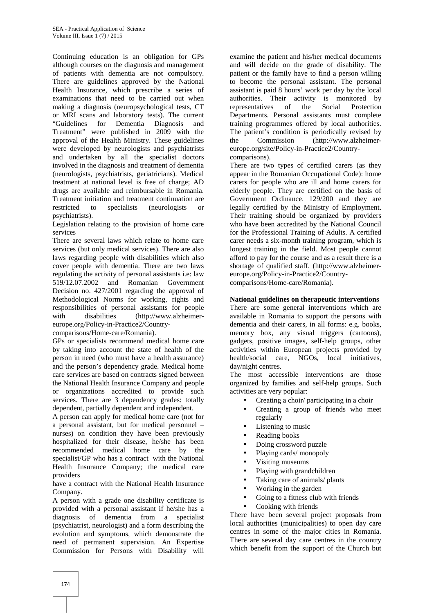Continuing education is an obligation for GPs although courses on the diagnosis and management of patients with dementia are not compulsory. There are guidelines approved by the National Health Insurance, which prescribe a series of examinations that need to be carried out when making a diagnosis (neuropsychological tests, CT or MRI scans and laboratory tests). The current "Guidelines for Dementia Diagnosis and Treatment" were published in 2009 with the approval of the Health Ministry. These guidelines were developed by neurologists and psychiatrists and undertaken by all the specialist doctors involved in the diagnosis and treatment of dementia (neurologists, psychiatrists, geriatricians). Medical treatment at national level is free of charge; AD drugs are available and reimbursable in Romania. Treatment initiation and treatment continuation are restricted to specialists (neurologists or psychiatrists).

Legislation relating to the provision of home care services

There are several laws which relate to home care services (but only medical services). There are also laws regarding people with disabilities which also cover people with dementia. There are two laws regulating the activity of personal assistants i.e: law 519/12.07.2002 and Romanian Government Decision no. 427/2001 regarding the approval of Methodological Norms for working, rights and responsibilities of personal assistants for people with disabilities (http://www.alzheimereurope.org/Policy-in-Practice2/Country-

comparisons/Home-care/Romania).

GPs or specialists recommend medical home care by taking into account the state of health of the person in need (who must have a health assurance) and the person's dependency grade. Medical home care services are based on contracts signed between the National Health Insurance Company and people or organizations accredited to provide such services. There are 3 dependency grades: totally dependent, partially dependent and independent.

A person can apply for medical home care (not for a personal assistant, but for medical personnel – nurses) on condition they have been previously hospitalized for their disease, he/she has been recommended medical home care by the specialist/GP who has a contract with the National Health Insurance Company; the medical care providers

have a contract with the National Health Insurance Company.

A person with a grade one disability certificate is provided with a personal assistant if he/she has a diagnosis of dementia from a specialist (psychiatrist, neurologist) and a form describing the evolution and symptoms, which demonstrate the need of permanent supervision. An Expertise Commission for Persons with Disability will examine the patient and his/her medical documents and will decide on the grade of disability. The patient or the family have to find a person willing to become the personal assistant. The personal assistant is paid 8 hours' work per day by the local authorities. Their activity is monitored by representatives of the Social Protection Departments. Personal assistants must complete training programmes offered by local authorities. The patient's condition is periodically revised by the Commission (http://www.alzheimer europe.org/site/Policy-in-Practice2/Country comparisons).

There are two types of certified carers (as they appear in the Romanian Occupational Code): home carers for people who are ill and home carers for elderly people. They are certified on the basis of Government Ordinance. 129/200 and they are legally certified by the Ministry of Employment. Their training should be organized by providers who have been accredited by the National Council for the Professional Training of Adults. A certified carer needs a six-month training program, which is longest training in the field. Most people cannot afford to pay for the course and as a result there is a shortage of qualified staff. (http://www.alzheimer europe.org/Policy-in-Practice2/Country-

comparisons/Home-care/Romania).

#### **National guidelines on therapeutic interventions**

There are some general interventions which are available in Romania to support the persons with dementia and their carers, in all forms: e.g. books, memory box, any visual triggers (cartoons), gadgets, positive images, self-help groups, other activities within European projects provided by health/social care, NGOs, local initiatives, day/night centres.

The most accessible interventions are those organized by families and self-help groups. Such activities are very popular:

- Creating a choir/ participating in a choir
- Creating a group of friends who meet regularly
- Listening to music
- Reading books
- Doing crossword puzzle
- Playing cards/ monopoly
- Visiting museums
- Playing with grandchildren
- Taking care of animals/ plants
- Working in the garden
- Going to a fitness club with friends
- Cooking with friends

There have been several project proposals from local authorities (municipalities) to open day care centres in some of the major cities in Romania. There are several day care centres in the country which benefit from the support of the Church but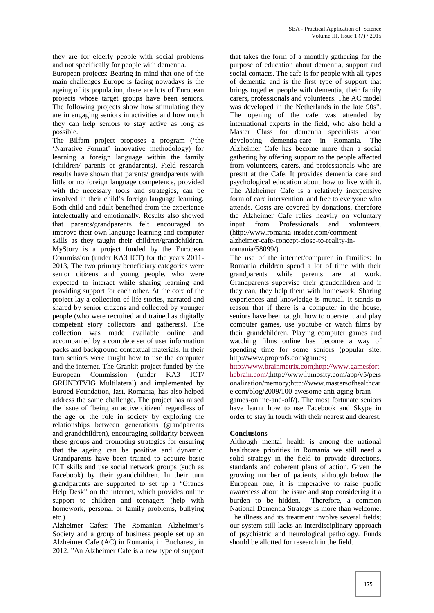they are for elderly people with social problems and not specifically for people with dementia.

European projects: Bearing in mind that one of the main challenges Europe is facing nowadays is the ageing of its population, there are lots of European projects whose target groups have been seniors. The following projects show how stimulating they are in engaging seniors in activities and how much they can help seniors to stay active as long as possible.

The Bilfam project proposes a program ('the 'Narrative Format' innovative methodology) for learning a foreign language within the family (children/ parents or grandarents). Field research results have shown that parents/ grandparents with little or no foreign language competence, provided with the necessary tools and strategies, can be involved in their child's foreign language learning. Both child and adult benefited from the experience intelectually and emotionally. Results also showed that parents/grandparents felt encouraged to improve their own language learning and computer skills as they taught their children/grandchildren. MyStory is a project funded by the European Commission (under KA3 ICT) for the years 2011- 2013, The two primary beneficiary categories were senior citizens and young people, who were expected to interact while sharing learning and providing support for each other. At the core of the project lay a collection of life-stories, narrated and shared by senior citizens and collected by younger people (who were recruited and trained as digitally competent story collectors and gatherers). The collection was made available online and accompanied by a complete set of user information packs and background contextual materials. In their turn seniors were taught how to use the computer and the internet. The Grankit project funded by the European Commission (under KA3 ICT/ GRUNDTVIG Multilateral) and implemented by Euroed Foundation, Iasi, Romania, has also helped address the same challenge. The project has raised the issue of 'being an active citizen' regardless of the age or the role in society by exploring the relationships between generations (grandparents and grandchildren), encouraging solidarity between these groups and promoting strategies for ensuring that the ageing can be positive and dynamic. Grandparents have been trained to acquire basic ICT skills and use social network groups (such as Facebook) by their grandchildren. In their turn grandparents are supported to set up a "Grands Help Desk" on the internet, which provides online support to children and teenagers (help with burden to be hidden. homework, personal or family problems, bullying etc.).

Alzheimer Cafes: The Romanian Alzheimer's Society and a group of business people set up an Alzheimer Cafe (AC) in Romania, in Bucharest, in 2012. "An Alzheimer Cafe is a new type of support

that takes the form of a monthly gathering for the purpose of education about dementia, support and social contacts. The cafe is for people with all types of dementia and is the first type of support that brings together people with dementia, their family carers, professionals and volunteers. The AC model was developed in the Netherlands in the late 90s". The opening of the cafe was attended by international experts in the field, who also held a Master Class for dementia specialists about developing dementia-care in Romania. The Alzheimer Cafe has become more than a social gathering by offering support to the people affected from volunteers, carers, and professionals who are presnt at the Cafe. It provides dementia care and psychological education about how to live with it. The Alzheimer Cafe is a relatively inexpensive form of care intervention, and free to everyone who attends. Costs are covered by donations, therefore the Alzheimer Cafe relies heavily on voluntary from Professionals and volunteers. (http://www.romania-insider.com/comment alzheimer-cafe-concept-close-to-reality-in-

#### romania/58099/)

The use of the internet/computer in families: In Romania children spend a lot of time with their grandparents while parents are at work. Grandparents supervise their grandchildren and if they can, they help them with homework. Sharing experiences and knowledge is mutual. It stands to reason that if there is a computer in the house, seniors have been taught how to operate it and play computer games, use youtube or watch films by their grandchildren. Playing computer games and watching films online has become a way of spending time for some seniors (popular site: http://www.proprofs.com/games;

http://www.brainmetrix.com;http://www.gamesfort hebrain.com/;http://www.lumosity.com/app/v5/pers onalization/memory;http://www.mastersofhealthcar e.com/blog/2009/100-awesome-anti-aging-brain-

games-online-and-off/). The most fortunate seniors have learnt how to use Facebook and Skype in order to stay in touch with their nearest and dearest.

#### **Conclusions**

Although mental health is among the national healthcare priorities in Romania we still need a solid strategy in the field to provide directions, standards and coherent plans of action. Given the growing number of patients, although below the European one, it is imperative to raise public awareness about the issue and stop considering it a Therefore, a common National Dementia Strategy is more than welcome. The illness and its treatment involve several fields; our system still lacks an interdisciplinary approach of psychiatric and neurological pathology. Funds should be allotted for research in the field.